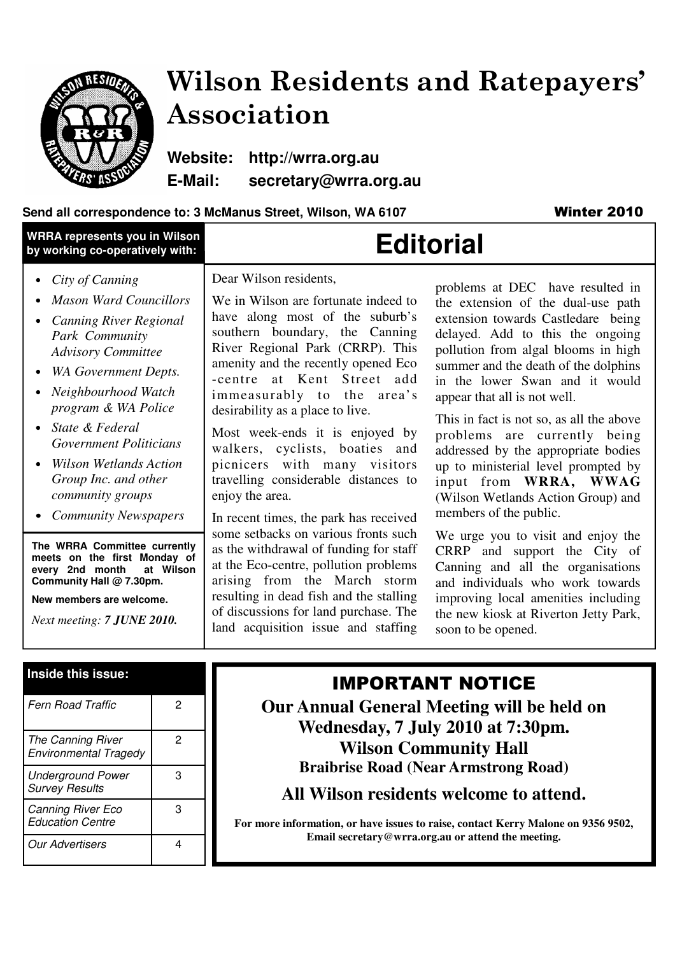

## Wilson Residents and Ratepayers' Association

**Website: http://wrra.org.au E-Mail: secretary@wrra.org.au** 

### Send all correspondence to: 3 McManus Street, Wilson, WA 6107 **Winter 2010**

| <b>WRRA represents you in Wilson</b><br>by working co-operatively with:                                                                                                                                                                                                                                                                                                                                                                                                                                                        | <b>Editorial</b>                                                                                                                                                                                                                                                                                                                                                                                                                                                                                                                                                                                                                                                                                                                                                        |                                                                                                                                                                                                                                                                                                                                                                                                                                                                                                                                                                                                                                                                                                                                                                                     |
|--------------------------------------------------------------------------------------------------------------------------------------------------------------------------------------------------------------------------------------------------------------------------------------------------------------------------------------------------------------------------------------------------------------------------------------------------------------------------------------------------------------------------------|-------------------------------------------------------------------------------------------------------------------------------------------------------------------------------------------------------------------------------------------------------------------------------------------------------------------------------------------------------------------------------------------------------------------------------------------------------------------------------------------------------------------------------------------------------------------------------------------------------------------------------------------------------------------------------------------------------------------------------------------------------------------------|-------------------------------------------------------------------------------------------------------------------------------------------------------------------------------------------------------------------------------------------------------------------------------------------------------------------------------------------------------------------------------------------------------------------------------------------------------------------------------------------------------------------------------------------------------------------------------------------------------------------------------------------------------------------------------------------------------------------------------------------------------------------------------------|
| City of Canning<br><b>Mason Ward Councillors</b><br><b>Canning River Regional</b><br>Park Community<br><b>Advisory Committee</b><br><b>WA Government Depts.</b><br>Neighbourhood Watch<br>program & WA Police<br>State & Federal<br>Government Politicians<br><b>Wilson Wetlands Action</b><br>Group Inc. and other<br>community groups<br><b>Community Newspapers</b><br>The WRRA Committee currently<br>meets on the first Monday of<br>at Wilson<br>every 2nd month<br>Community Hall @ 7.30pm.<br>New members are welcome. | Dear Wilson residents,<br>We in Wilson are fortunate indeed to<br>have along most of the suburb's<br>southern boundary, the Canning<br>River Regional Park (CRRP). This<br>amenity and the recently opened Eco<br>-centre at Kent Street add<br>immeasurably to the area's<br>desirability as a place to live.<br>Most week-ends it is enjoyed by<br>walkers, cyclists, boaties and<br>picnicers with many visitors<br>travelling considerable distances to<br>enjoy the area.<br>In recent times, the park has received<br>some setbacks on various fronts such<br>as the withdrawal of funding for staff<br>at the Eco-centre, pollution problems<br>arising from the March storm<br>resulting in dead fish and the stalling<br>of discussions for land purchase. The | problems at DEC have resulted in<br>the extension of the dual-use path<br>extension towards Castledare being<br>delayed. Add to this the ongoing<br>pollution from algal blooms in high<br>summer and the death of the dolphins<br>in the lower Swan and it would<br>appear that all is not well.<br>This in fact is not so, as all the above<br>problems are currently being<br>addressed by the appropriate bodies<br>up to ministerial level prompted by<br>input from WRRA, WWAG<br>(Wilson Wetlands Action Group) and<br>members of the public.<br>We urge you to visit and enjoy the<br>CRRP and support the City of<br>Canning and all the organisations<br>and individuals who work towards<br>improving local amenities including<br>the new kiosk at Riverton Jetty Park, |
| Next meeting: 7 JUNE 2010.                                                                                                                                                                                                                                                                                                                                                                                                                                                                                                     | land acquisition issue and staffing                                                                                                                                                                                                                                                                                                                                                                                                                                                                                                                                                                                                                                                                                                                                     | soon to be opened.                                                                                                                                                                                                                                                                                                                                                                                                                                                                                                                                                                                                                                                                                                                                                                  |
| Inside this issue:                                                                                                                                                                                                                                                                                                                                                                                                                                                                                                             |                                                                                                                                                                                                                                                                                                                                                                                                                                                                                                                                                                                                                                                                                                                                                                         |                                                                                                                                                                                                                                                                                                                                                                                                                                                                                                                                                                                                                                                                                                                                                                                     |

| <b>Fern Road Traffic</b>                            | 2 |
|-----------------------------------------------------|---|
| The Canning River<br><b>Environmental Tragedy</b>   | 2 |
| <b>Underground Power</b><br><b>Survey Results</b>   | з |
| <b>Canning River Eco</b><br><b>Education Centre</b> | 3 |
| <b>Our Advertisers</b>                              |   |

### IMPORTANT NOTICE

**Our Annual General Meeting will be held on Wednesday, 7 July 2010 at 7:30pm. Wilson Community Hall Braibrise Road (Near Armstrong Road)** 

**All Wilson residents welcome to attend.** 

**For more information, or have issues to raise, contact Kerry Malone on 9356 9502, Email secretary@wrra.org.au or attend the meeting.**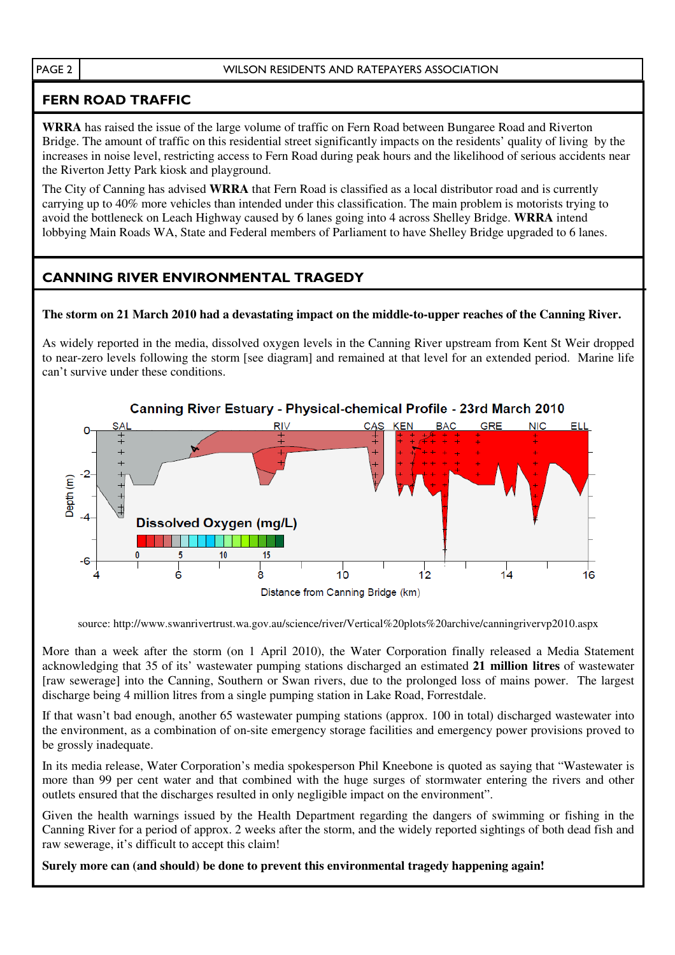### FERN ROAD TRAFFIC

**WRRA** has raised the issue of the large volume of traffic on Fern Road between Bungaree Road and Riverton Bridge. The amount of traffic on this residential street significantly impacts on the residents' quality of living by the increases in noise level, restricting access to Fern Road during peak hours and the likelihood of serious accidents near the Riverton Jetty Park kiosk and playground.

The City of Canning has advised **WRRA** that Fern Road is classified as a local distributor road and is currently carrying up to 40% more vehicles than intended under this classification. The main problem is motorists trying to avoid the bottleneck on Leach Highway caused by 6 lanes going into 4 across Shelley Bridge. **WRRA** intend lobbying Main Roads WA, State and Federal members of Parliament to have Shelley Bridge upgraded to 6 lanes.

### CANNING RIVER ENVIRONMENTAL TRAGEDY

### **The storm on 21 March 2010 had a devastating impact on the middle-to-upper reaches of the Canning River.**

As widely reported in the media, dissolved oxygen levels in the Canning River upstream from Kent St Weir dropped to near-zero levels following the storm [see diagram] and remained at that level for an extended period. Marine life can't survive under these conditions.



source: http://www.swanrivertrust.wa.gov.au/science/river/Vertical%20plots%20archive/canningrivervp2010.aspx

More than a week after the storm (on 1 April 2010), the Water Corporation finally released a Media Statement acknowledging that 35 of its' wastewater pumping stations discharged an estimated **21 million litres** of wastewater [raw sewerage] into the Canning, Southern or Swan rivers, due to the prolonged loss of mains power. The largest discharge being 4 million litres from a single pumping station in Lake Road, Forrestdale.

If that wasn't bad enough, another 65 wastewater pumping stations (approx. 100 in total) discharged wastewater into the environment, as a combination of on-site emergency storage facilities and emergency power provisions proved to be grossly inadequate.

In its media release, Water Corporation's media spokesperson Phil Kneebone is quoted as saying that "Wastewater is more than 99 per cent water and that combined with the huge surges of stormwater entering the rivers and other outlets ensured that the discharges resulted in only negligible impact on the environment".

Given the health warnings issued by the Health Department regarding the dangers of swimming or fishing in the Canning River for a period of approx. 2 weeks after the storm, and the widely reported sightings of both dead fish and raw sewerage, it's difficult to accept this claim!

**Surely more can (and should) be done to prevent this environmental tragedy happening again!**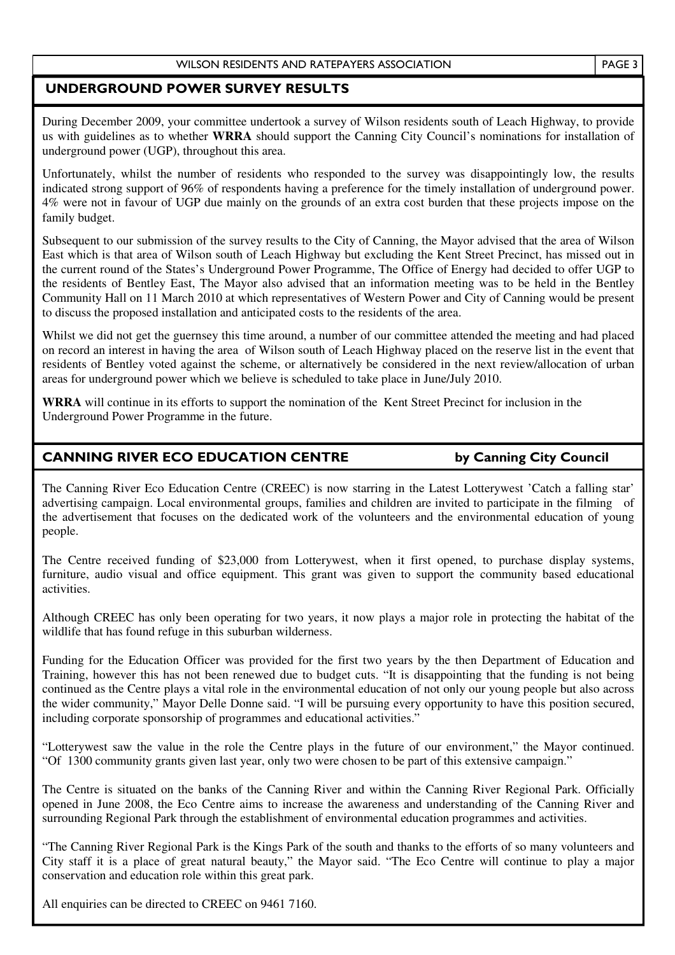### UNDERGROUND POWER SURVEY RESULTS

During December 2009, your committee undertook a survey of Wilson residents south of Leach Highway, to provide us with guidelines as to whether **WRRA** should support the Canning City Council's nominations for installation of underground power (UGP), throughout this area.

Unfortunately, whilst the number of residents who responded to the survey was disappointingly low, the results indicated strong support of 96% of respondents having a preference for the timely installation of underground power. 4% were not in favour of UGP due mainly on the grounds of an extra cost burden that these projects impose on the family budget.

Subsequent to our submission of the survey results to the City of Canning, the Mayor advised that the area of Wilson East which is that area of Wilson south of Leach Highway but excluding the Kent Street Precinct, has missed out in the current round of the States's Underground Power Programme, The Office of Energy had decided to offer UGP to the residents of Bentley East, The Mayor also advised that an information meeting was to be held in the Bentley Community Hall on 11 March 2010 at which representatives of Western Power and City of Canning would be present to discuss the proposed installation and anticipated costs to the residents of the area.

Whilst we did not get the guernsey this time around, a number of our committee attended the meeting and had placed on record an interest in having the area of Wilson south of Leach Highway placed on the reserve list in the event that residents of Bentley voted against the scheme, or alternatively be considered in the next review/allocation of urban areas for underground power which we believe is scheduled to take place in June/July 2010.

**WRRA** will continue in its efforts to support the nomination of the Kent Street Precinct for inclusion in the Underground Power Programme in the future.

### j CANNING RIVER ECO EDUCATION CENTRE by Canning City Council

٦ The Canning River Eco Education Centre (CREEC) is now starring in the Latest Lotterywest 'Catch a falling star' advertising campaign. Local environmental groups, families and children are invited to participate in the filming of the advertisement that focuses on the dedicated work of the volunteers and the environmental education of young people.

The Centre received funding of \$23,000 from Lotterywest, when it first opened, to purchase display systems, furniture, audio visual and office equipment. This grant was given to support the community based educational activities.

Although CREEC has only been operating for two years, it now plays a major role in protecting the habitat of the wildlife that has found refuge in this suburban wilderness.

Funding for the Education Officer was provided for the first two years by the then Department of Education and Training, however this has not been renewed due to budget cuts. "It is disappointing that the funding is not being continued as the Centre plays a vital role in the environmental education of not only our young people but also across the wider community," Mayor Delle Donne said. "I will be pursuing every opportunity to have this position secured, including corporate sponsorship of programmes and educational activities."

"Lotterywest saw the value in the role the Centre plays in the future of our environment," the Mayor continued. "Of 1300 community grants given last year, only two were chosen to be part of this extensive campaign."

The Centre is situated on the banks of the Canning River and within the Canning River Regional Park. Officially opened in June 2008, the Eco Centre aims to increase the awareness and understanding of the Canning River and surrounding Regional Park through the establishment of environmental education programmes and activities.

"The Canning River Regional Park is the Kings Park of the south and thanks to the efforts of so many volunteers and City staff it is a place of great natural beauty," the Mayor said. "The Eco Centre will continue to play a major conservation and education role within this great park.

All enquiries can be directed to CREEC on 9461 7160.

PAGE 3